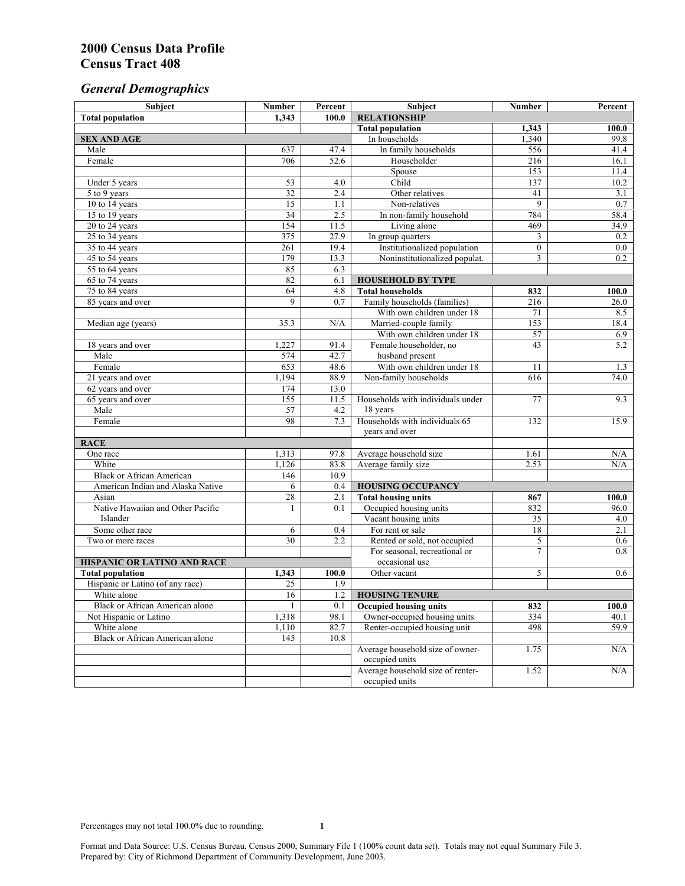# *General Demographics*

| Subject                           | <b>Number</b>   | Percent | Subject                                       | <b>Number</b>  | Percent   |
|-----------------------------------|-----------------|---------|-----------------------------------------------|----------------|-----------|
| <b>Total population</b>           | 1,343           | 100.0   | <b>RELATIONSHIP</b>                           |                |           |
|                                   |                 |         | <b>Total population</b>                       | 1,343          | 100.0     |
| <b>SEX AND AGE</b>                |                 |         | In households                                 | 1,340          | 99.8      |
| Male                              | 637             | 47.4    | In family households                          | 556            | 41.4      |
| Female                            | 706             | 52.6    | Householder                                   | 216            | 16.1      |
|                                   |                 |         | Spouse                                        | 153            | 11.4      |
| Under 5 years                     | 53              | 4.0     | Child                                         | 137            | 10.2      |
| 5 to 9 years                      | 32              | 2.4     | Other relatives                               | 41             | 3.1       |
| 10 to 14 years                    | 15              | 1.1     | Non-relatives                                 | 9              | 0.7       |
| 15 to 19 years                    | $\overline{34}$ | 2.5     | In non-family household                       | 784            | 58.4      |
| 20 to 24 years                    | 154             | 11.5    | Living alone                                  | 469            | 34.9      |
| $25 \text{ to } 34$ years         | 375             | 27.9    | In group quarters                             | 3              | 0.2       |
| 35 to 44 years                    | 261             | 19.4    | Institutionalized population                  | $\mathbf{0}$   | 0.0       |
| 45 to 54 years                    | 179             | 13.3    | Noninstitutionalized populat.                 | 3              | 0.2       |
| 55 to 64 years                    | 85              | 6.3     |                                               |                |           |
| 65 to 74 years                    | 82              | 6.1     | <b>HOUSEHOLD BY TYPE</b>                      |                |           |
| 75 to 84 years                    | 64              | 4.8     | <b>Total households</b>                       | 832            | 100.0     |
| 85 years and over                 | 9               | 0.7     | Family households (families)                  | 216            | 26.0      |
|                                   |                 |         | With own children under 18                    | 71             | 8.5       |
| Median age (years)                | 35.3            | N/A     | Married-couple family                         | 153            | 18.4      |
|                                   |                 |         | With own children under 18                    | 57             | 6.9       |
| 18 years and over                 | 1,227           | 91.4    | Female householder, no                        | 43             | 5.2       |
| Male                              | 574             | 42.7    | husband present                               |                |           |
| Female                            | 653             | 48.6    | With own children under 18                    | 11             | 1.3       |
| 21 years and over                 | 1,194           | 88.9    | Non-family households                         | 616            | 74.0      |
| 62 years and over                 | 174             | 13.0    |                                               |                |           |
| 65 years and over                 | 155             | 11.5    | Households with individuals under             | 77             | 9.3       |
| Male                              | 57<br>98        | 4.2     | 18 years<br>Households with individuals 65    |                |           |
| Female                            |                 | 7.3     |                                               | 132            | 15.9      |
|                                   |                 |         | years and over                                |                |           |
| <b>RACE</b><br>One race           | 1,313           | 97.8    |                                               | 1.61           | $\rm N/A$ |
| White                             | 1,126           | 83.8    | Average household size<br>Average family size | 2.53           | N/A       |
| <b>Black or African American</b>  | 146             | 10.9    |                                               |                |           |
| American Indian and Alaska Native | 6               | 0.4     | <b>HOUSING OCCUPANCY</b>                      |                |           |
| Asian                             | 28              | 2.1     | <b>Total housing units</b>                    | 867            | 100.0     |
| Native Hawaiian and Other Pacific | 1               | 0.1     | Occupied housing units                        | 832            | 96.0      |
| Islander                          |                 |         | Vacant housing units                          | 35             | 4.0       |
| Some other race                   | 6               | 0.4     | For rent or sale                              | 18             | 2.1       |
| Two or more races                 | $\overline{30}$ | 2.2     | Rented or sold, not occupied                  | 5              | 0.6       |
|                                   |                 |         | For seasonal, recreational or                 | $\overline{7}$ | 0.8       |
| HISPANIC OR LATINO AND RACE       |                 |         | occasional use                                |                |           |
| <b>Total population</b>           | 1,343           | 100.0   | Other vacant                                  | 5              | 0.6       |
| Hispanic or Latino (of any race)  | 25              | 1.9     |                                               |                |           |
| White alone                       | 16              | 1.2     | <b>HOUSING TENURE</b>                         |                |           |
| Black or African American alone   | $\mathbf{1}$    | 0.1     | <b>Occupied housing units</b>                 | 832            | 100.0     |
| Not Hispanic or Latino            | 1,318           | 98.1    | Owner-occupied housing units                  | 334            | 40.1      |
| White alone                       | 1,110           | 82.7    | Renter-occupied housing unit                  | 498            | 59.9      |
| Black or African American alone   | 145             | 10.8    |                                               |                |           |
|                                   |                 |         | Average household size of owner-              | 1.75           | N/A       |
|                                   |                 |         | occupied units                                |                |           |
|                                   |                 |         | Average household size of renter-             | 1.52           | N/A       |
|                                   |                 |         | occupied units                                |                |           |
|                                   |                 |         |                                               |                |           |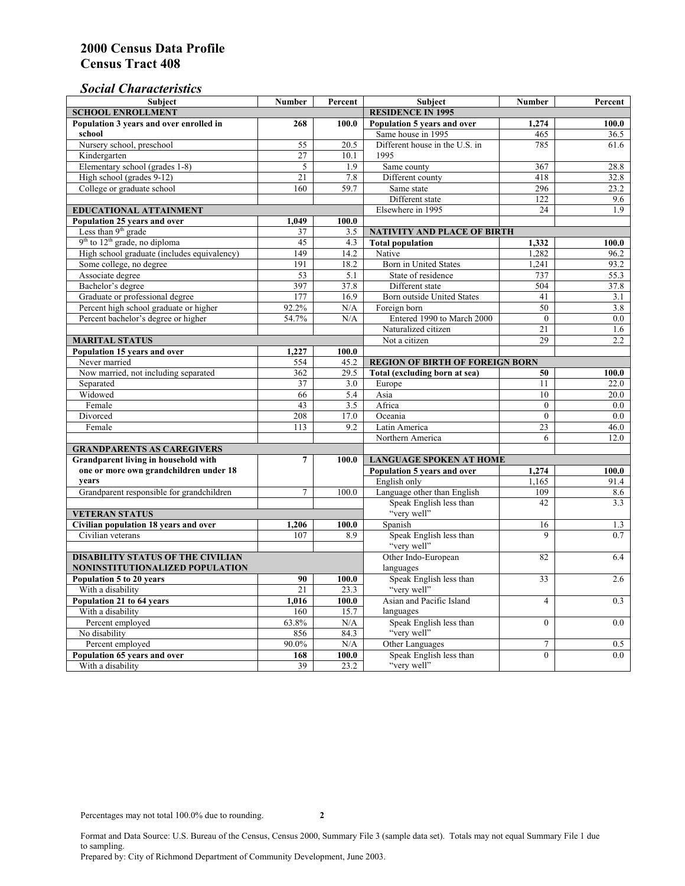### *Social Characteristics*

| <b>Subject</b>                                                  | <b>Number</b>            | Percent | <b>Subject</b>                         | <b>Number</b>  | Percent |  |
|-----------------------------------------------------------------|--------------------------|---------|----------------------------------------|----------------|---------|--|
| <b>SCHOOL ENROLLMENT</b>                                        | <b>RESIDENCE IN 1995</b> |         |                                        |                |         |  |
| Population 3 years and over enrolled in                         | 268                      | 100.0   | Population 5 years and over            | 1.274          | 100.0   |  |
| school                                                          |                          |         | Same house in 1995                     | 465            | 36.5    |  |
| Nursery school, preschool                                       | 55                       | 20.5    | Different house in the U.S. in         | 785            | 61.6    |  |
| Kindergarten                                                    | 27                       | 10.1    | 1995                                   |                |         |  |
| Elementary school (grades 1-8)                                  | $\sqrt{5}$               | 1.9     | Same county                            | 367            | 28.8    |  |
| High school (grades 9-12)                                       | 21                       | 7.8     | Different county                       | 418            | 32.8    |  |
| College or graduate school                                      | 160                      | 59.7    | Same state                             | 296            | 23.2    |  |
|                                                                 |                          |         | Different state                        | 122            | 9.6     |  |
| EDUCATIONAL ATTAINMENT                                          |                          |         | Elsewhere in 1995                      | 24             | 1.9     |  |
| Population 25 years and over                                    | 1,049                    | 100.0   |                                        |                |         |  |
| Less than 9 <sup>th</sup> grade                                 | 37                       | 3.5     | <b>NATIVITY AND PLACE OF BIRTH</b>     |                |         |  |
| $9th$ to $12th$ grade, no diploma                               | 45                       | 4.3     | <b>Total population</b>                | 1,332          | 100.0   |  |
| High school graduate (includes equivalency)                     | 149                      | 14.2    | Native                                 | 1,282          | 96.2    |  |
| Some college, no degree                                         | 191                      | 18.2    | Born in United States                  | 1,241          | 93.2    |  |
| Associate degree                                                | 53                       | 5.1     | State of residence                     | 737            | 55.3    |  |
| Bachelor's degree                                               | 397                      | 37.8    | Different state                        | 504            | 37.8    |  |
| Graduate or professional degree                                 | 177                      | 16.9    | <b>Born outside United States</b>      | 41             | 3.1     |  |
| Percent high school graduate or higher                          | 92.2%                    | N/A     | Foreign born                           | 50             | 3.8     |  |
| Percent bachelor's degree or higher                             | 54.7%                    | N/A     | Entered 1990 to March 2000             | $\mathbf{0}$   | $0.0\,$ |  |
|                                                                 |                          |         | Naturalized citizen                    | 21             | 1.6     |  |
| <b>MARITAL STATUS</b>                                           |                          |         | Not a citizen                          | 29             | 2.2     |  |
| Population 15 years and over                                    | 1,227                    | 100.0   |                                        |                |         |  |
| Never married                                                   | 554                      | 45.2    | <b>REGION OF BIRTH OF FOREIGN BORN</b> |                |         |  |
| Now married, not including separated                            | 362                      | 29.5    | Total (excluding born at sea)          | 50             | 100.0   |  |
| Separated                                                       | 37                       | 3.0     | Europe                                 | 11             | 22.0    |  |
| Widowed                                                         | 66                       | 5.4     | Asia                                   | 10             | 20.0    |  |
| Female                                                          | 43                       | 3.5     | Africa                                 | $\theta$       | 0.0     |  |
| Divorced                                                        | 208                      | 17.0    | Oceania                                | $\mathbf{0}$   | 0.0     |  |
| Female                                                          | 113                      | 9.2     | Latin America                          | 23             | 46.0    |  |
|                                                                 |                          |         | Northern America                       | 6              | 12.0    |  |
| <b>GRANDPARENTS AS CAREGIVERS</b>                               |                          |         |                                        |                |         |  |
| $\overline{7}$<br>Grandparent living in household with<br>100.0 |                          |         | <b>LANGUAGE SPOKEN AT HOME</b>         |                |         |  |
| one or more own grandchildren under 18                          |                          |         | Population 5 years and over            | 1,274          | 100.0   |  |
| years                                                           |                          |         | English only                           | 1.165          | 91.4    |  |
| Grandparent responsible for grandchildren                       | $\overline{7}$           | 100.0   | Language other than English            | 109            | 8.6     |  |
|                                                                 |                          |         | Speak English less than                | 42             | 3.3     |  |
| <b>VETERAN STATUS</b>                                           |                          |         | "very well"                            |                |         |  |
| Civilian population 18 years and over                           | 1,206                    | 100.0   | Spanish                                | 16             | 1.3     |  |
| Civilian veterans                                               | 107                      | 8.9     | Speak English less than                | $\mathbf Q$    | 0.7     |  |
|                                                                 |                          |         | "very well"                            |                |         |  |
| <b>DISABILITY STATUS OF THE CIVILIAN</b>                        | Other Indo-European      | 82      | 6.4                                    |                |         |  |
| NONINSTITUTIONALIZED POPULATION                                 | languages                |         |                                        |                |         |  |
| Population 5 to 20 years                                        | 90                       | 100.0   | Speak English less than                | 33             | 2.6     |  |
| With a disability                                               | 21                       | 23.3    | "very well"                            |                |         |  |
| Population 21 to 64 years                                       | 1.016                    | 100.0   | Asian and Pacific Island               | $\overline{4}$ | 0.3     |  |
| With a disability                                               | 160                      | 15.7    | languages                              |                |         |  |
| Percent employed                                                | 63.8%                    | N/A     | Speak English less than                | $\mathbf{0}$   | 0.0     |  |
| No disability                                                   | 856                      | 84.3    | "very well"                            |                |         |  |
| Percent employed                                                | 90.0%                    | N/A     | Other Languages                        | $\tau$         | 0.5     |  |
| Population 65 years and over                                    | 168                      | 100.0   | Speak English less than                | $\mathbf{0}$   | 0.0     |  |
| With a disability                                               | 39                       | 23.2    | "very well"                            |                |         |  |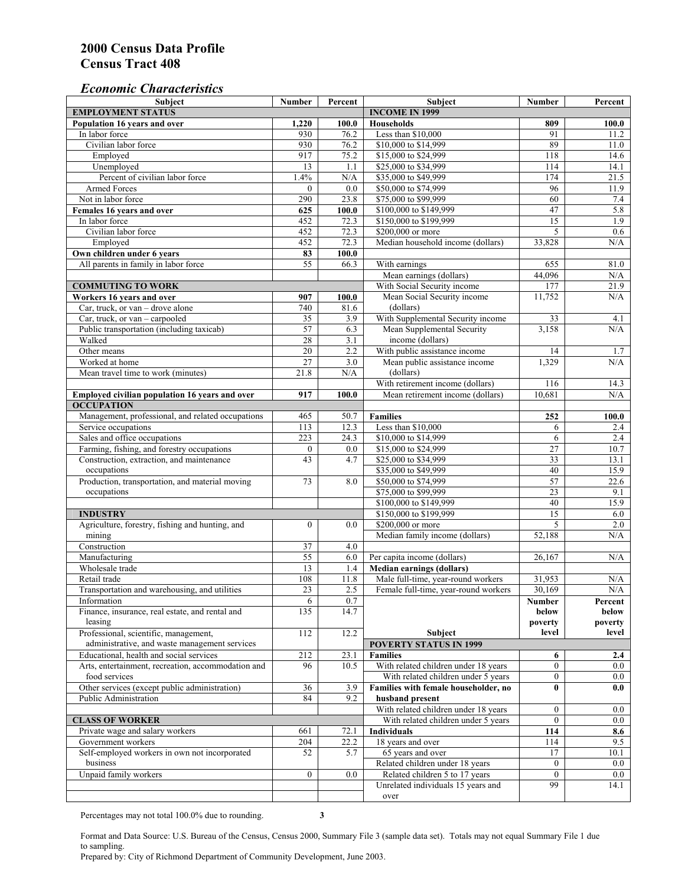#### *Economic Characteristics*

| <b>Subject</b>                                     | Number           | Percent | Subject                                    | Number           | Percent |
|----------------------------------------------------|------------------|---------|--------------------------------------------|------------------|---------|
| <b>EMPLOYMENT STATUS</b>                           |                  |         | <b>INCOME IN 1999</b>                      |                  |         |
| Population 16 years and over                       | 1,220            | 100.0   | <b>Households</b>                          | 809              | 100.0   |
| In labor force                                     | 930              | 76.2    | Less than \$10,000                         | 91               | 11.2    |
| Civilian labor force                               | 930              | 76.2    | \$10,000 to \$14,999                       | 89               | 11.0    |
| Employed                                           | 917              | 75.2    | \$15,000 to \$24,999                       | 118              | 14.6    |
| Unemployed                                         | 13               | 1.1     | \$25,000 to \$34,999                       | 114              | 14.1    |
| Percent of civilian labor force                    | 1.4%             | N/A     | \$35,000 to \$49,999                       | 174              | 21.5    |
| Armed Forces                                       | $\mathbf{0}$     | 0.0     | \$50,000 to \$74,999                       | 96               | 11.9    |
| Not in labor force                                 | 290              | 23.8    | \$75,000 to \$99,999                       | 60               | 7.4     |
| Females 16 years and over                          | 625              | 100.0   | \$100,000 to \$149,999                     | 47               | 5.8     |
| In labor force                                     | 452              | 72.3    | \$150,000 to \$199,999                     | $\overline{15}$  | 1.9     |
| Civilian labor force                               | 452              | 72.3    | \$200,000 or more                          | 5                | 0.6     |
| Employed                                           | 452              | 72.3    | Median household income (dollars)          | 33,828           | N/A     |
| Own children under 6 years                         | 83               | 100.0   |                                            |                  |         |
| All parents in family in labor force               | 55               | 66.3    | With earnings                              | 655              | 81.0    |
|                                                    |                  |         | Mean earnings (dollars)                    | 44,096           | N/A     |
| <b>COMMUTING TO WORK</b>                           |                  |         | With Social Security income                | 177              | 21.9    |
| Workers 16 years and over                          | 907              | 100.0   | Mean Social Security income                | 11,752           | N/A     |
| Car, truck, or van – drove alone                   | 740              | 81.6    | (dollars)                                  |                  |         |
| Car, truck, or van - carpooled                     | 35               | 3.9     | With Supplemental Security income          | 33               | 4.1     |
| Public transportation (including taxicab)          | 57               | 6.3     | Mean Supplemental Security                 | 3,158            | N/A     |
| Walked                                             | 28               | 3.1     | income (dollars)                           |                  |         |
| Other means                                        | $\overline{20}$  | 2.2     | With public assistance income              | 14               | 1.7     |
| Worked at home                                     | 27               | 3.0     |                                            | 1,329            | N/A     |
|                                                    |                  |         | Mean public assistance income<br>(dollars) |                  |         |
| Mean travel time to work (minutes)                 | 21.8             | N/A     |                                            |                  |         |
|                                                    |                  |         | With retirement income (dollars)           | 116              | 14.3    |
| Employed civilian population 16 years and over     | 917              | 100.0   | Mean retirement income (dollars)           | 10,681           | N/A     |
| <b>OCCUPATION</b>                                  |                  |         |                                            |                  |         |
| Management, professional, and related occupations  | 465              | 50.7    | <b>Families</b>                            | 252              | 100.0   |
| Service occupations                                | 113              | 12.3    | Less than \$10,000                         | 6                | 2.4     |
| Sales and office occupations                       | 223              | 24.3    | \$10,000 to \$14,999                       | 6                | 2.4     |
| Farming, fishing, and forestry occupations         | $\boldsymbol{0}$ | 0.0     | \$15,000 to \$24,999                       | 27               | 10.7    |
| Construction, extraction, and maintenance          | 43               | 4.7     | \$25,000 to \$34,999                       | 33               | 13.1    |
| occupations                                        |                  |         | \$35,000 to \$49,999                       | 40               | 15.9    |
| Production, transportation, and material moving    | 73               | 8.0     | \$50,000 to \$74,999                       | 57               | 22.6    |
| occupations                                        |                  |         | \$75,000 to \$99,999                       | 23               | 9.1     |
|                                                    |                  |         | \$100,000 to \$149,999                     | 40               | 15.9    |
| <b>INDUSTRY</b>                                    |                  |         | \$150,000 to \$199,999                     | 15               | 6.0     |
| Agriculture, forestry, fishing and hunting, and    | $\boldsymbol{0}$ | 0.0     | \$200,000 or more                          | 5                | 2.0     |
| mining                                             |                  |         | Median family income (dollars)             | 52,188           | N/A     |
| Construction                                       | 37               | 4.0     |                                            |                  |         |
| Manufacturing                                      | $\overline{55}$  | 6.0     | Per capita income (dollars)                | 26,167           | N/A     |
| Wholesale trade                                    | 13               | 1.4     | <b>Median earnings (dollars)</b>           |                  |         |
| Retail trade                                       | 108              | 11.8    | Male full-time, year-round workers         | 31,953           | N/A     |
| Transportation and warehousing, and utilities      | 23               | 2.5     | Female full-time, year-round workers       | 30,169           | N/A     |
| Information                                        | 6                | 0.7     |                                            | Number           | Percent |
| Finance, insurance, real estate, and rental and    | 135              | 14.7    |                                            | below            | below   |
| leasing                                            |                  |         |                                            | poverty          | poverty |
| Professional, scientific, management,              | 112              | 12.2    | Subject                                    | level            | level   |
| administrative, and waste management services      |                  |         | <b>POVERTY STATUS IN 1999</b>              |                  |         |
| Educational, health and social services            | 212              | 23.1    | <b>Families</b>                            | 6                | 2.4     |
| Arts, entertainment, recreation, accommodation and | 96               | 10.5    | With related children under 18 years       | $\overline{0}$   | $0.0\,$ |
| food services                                      |                  |         | With related children under 5 years        | $\mathbf{0}$     | $0.0\,$ |
| Other services (except public administration)      | 36               | 3.9     | Families with female householder, no       | $\bf{0}$         | 0.0     |
| Public Administration                              | 84               | 9.2     | husband present                            |                  |         |
|                                                    |                  |         | With related children under 18 years       | $\overline{0}$   | $0.0\,$ |
| <b>CLASS OF WORKER</b>                             |                  |         | With related children under 5 years        | $\boldsymbol{0}$ | $0.0\,$ |
| Private wage and salary workers                    | 661              | 72.1    | Individuals                                | 114              | 8.6     |
| Government workers                                 | 204              | 22.2    | 18 years and over                          | 114              | 9.5     |
| Self-employed workers in own not incorporated      | 52               | 5.7     | 65 years and over                          | 17               | 10.1    |
| business                                           |                  |         | Related children under 18 years            | $\overline{0}$   | $0.0\,$ |
| Unpaid family workers                              | $\mathbf{0}$     | 0.0     | Related children 5 to 17 years             | $\overline{0}$   | $0.0\,$ |
|                                                    |                  |         | Unrelated individuals 15 years and         | 99               | 14.1    |
|                                                    |                  |         | over                                       |                  |         |
|                                                    |                  |         |                                            |                  |         |

Percentages may not total 100.0% due to rounding. **3** 

Format and Data Source: U.S. Bureau of the Census, Census 2000, Summary File 3 (sample data set). Totals may not equal Summary File 1 due to sampling.

Prepared by: City of Richmond Department of Community Development, June 2003.